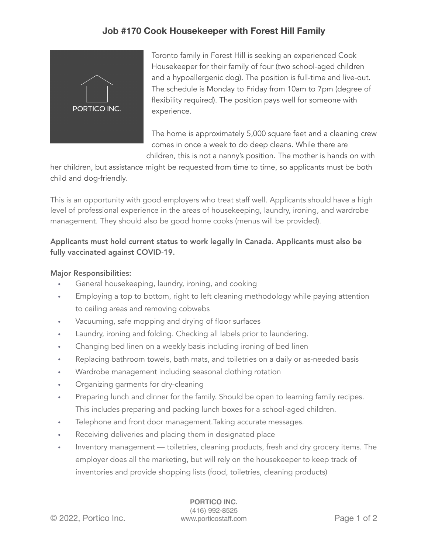## **Job #170 Cook Housekeeper with Forest Hill Family**



Toronto family in Forest Hill is seeking an experienced Cook Housekeeper for their family of four (two school-aged children and a hypoallergenic dog). The position is full-time and live-out. The schedule is Monday to Friday from 10am to 7pm (degree of flexibility required). The position pays well for someone with experience.

The home is approximately 5,000 square feet and a cleaning crew comes in once a week to do deep cleans. While there are children, this is not a nanny's position. The mother is hands on with

her children, but assistance might be requested from time to time, so applicants must be both child and dog-friendly.

This is an opportunity with good employers who treat staff well. Applicants should have a high level of professional experience in the areas of housekeeping, laundry, ironing, and wardrobe management. They should also be good home cooks (menus will be provided).

### Applicants must hold current status to work legally in Canada. Applicants must also be fully vaccinated against COVID-19.

### Major Responsibilities:

- General housekeeping, laundry, ironing, and cooking
- Employing a top to bottom, right to left cleaning methodology while paying attention to ceiling areas and removing cobwebs
- Vacuuming, safe mopping and drying of floor surfaces
- Laundry, ironing and folding. Checking all labels prior to laundering.
- Changing bed linen on a weekly basis including ironing of bed linen
- Replacing bathroom towels, bath mats, and toiletries on a daily or as-needed basis
- Wardrobe management including seasonal clothing rotation
- Organizing garments for dry-cleaning
- Preparing lunch and dinner for the family. Should be open to learning family recipes. This includes preparing and packing lunch boxes for a school-aged children.
- Telephone and front door management.Taking accurate messages.
- Receiving deliveries and placing them in designated place
- Inventory management toiletries, cleaning products, fresh and dry grocery items. The employer does all the marketing, but will rely on the housekeeper to keep track of inventories and provide shopping lists (food, toiletries, cleaning products)

**PORTICO INC.** (416) 992-8525